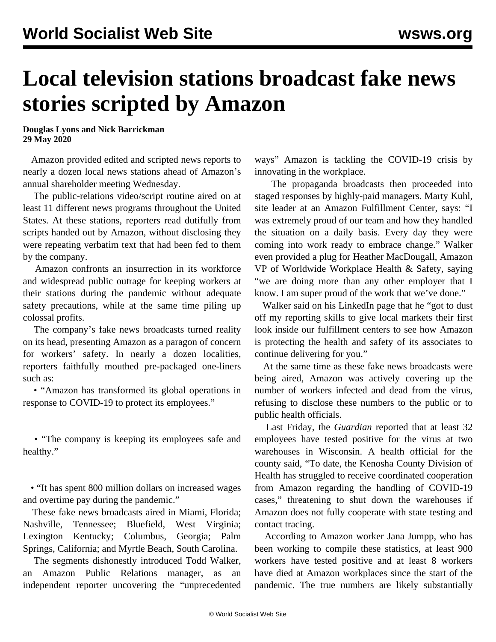## **Local television stations broadcast fake news stories scripted by Amazon**

**Douglas Lyons and Nick Barrickman 29 May 2020**

 Amazon provided edited and scripted news reports to nearly a dozen local news stations ahead of Amazon's annual shareholder meeting Wednesday.

 The public-relations video/script routine aired on at least 11 different news programs throughout the United States. At these stations, reporters read dutifully from scripts handed out by Amazon, without disclosing they were repeating verbatim text that had been fed to them by the company.

 Amazon confronts an insurrection in its workforce and widespread public outrage for keeping workers at their stations during the pandemic without adequate safety precautions, while at the same time piling up colossal profits.

 The company's fake news broadcasts turned reality on its head, presenting Amazon as a paragon of concern for workers' safety. In nearly a dozen localities, reporters faithfully mouthed pre-packaged one-liners such as:

 • "Amazon has transformed its global operations in response to COVID-19 to protect its employees."

 • "The company is keeping its employees safe and healthy."

 • "It has spent 800 million dollars on increased wages and overtime pay during the pandemic."

 These fake news broadcasts aired in Miami, Florida; Nashville, Tennessee; Bluefield, West Virginia; Lexington Kentucky; Columbus, Georgia; Palm Springs, California; and Myrtle Beach, South Carolina.

 The segments dishonestly introduced Todd Walker, an Amazon Public Relations manager, as an independent reporter uncovering the "unprecedented ways" Amazon is tackling the COVID-19 crisis by innovating in the workplace.

 The propaganda broadcasts then proceeded into staged responses by highly-paid managers. Marty Kuhl, site leader at an Amazon Fulfillment Center, says: "I was extremely proud of our team and how they handled the situation on a daily basis. Every day they were coming into work ready to embrace change." Walker even provided a plug for Heather MacDougall, Amazon VP of Worldwide Workplace Health & Safety, saying "we are doing more than any other employer that I know. I am super proud of the work that we've done."

 Walker said on his LinkedIn page that he "got to dust off my reporting skills to give local markets their first look inside our fulfillment centers to see how Amazon is protecting the health and safety of its associates to continue delivering for you."

 At the same time as these fake news broadcasts were being aired, Amazon was actively covering up the number of workers infected and dead from the virus, refusing to disclose these numbers to the public or to public health officials.

 Last Friday, the *Guardian* reported that at least 32 employees have tested positive for the virus at two warehouses in Wisconsin. A health official for the county said, "To date, the Kenosha County Division of Health has struggled to receive coordinated cooperation from Amazon regarding the handling of COVID-19 cases," threatening to shut down the warehouses if Amazon does not fully cooperate with state testing and contact tracing.

 According to Amazon worker Jana Jumpp, who has been working to compile these statistics, at least 900 workers have tested positive and at least 8 workers have died at Amazon workplaces since the start of the pandemic. The true numbers are likely substantially